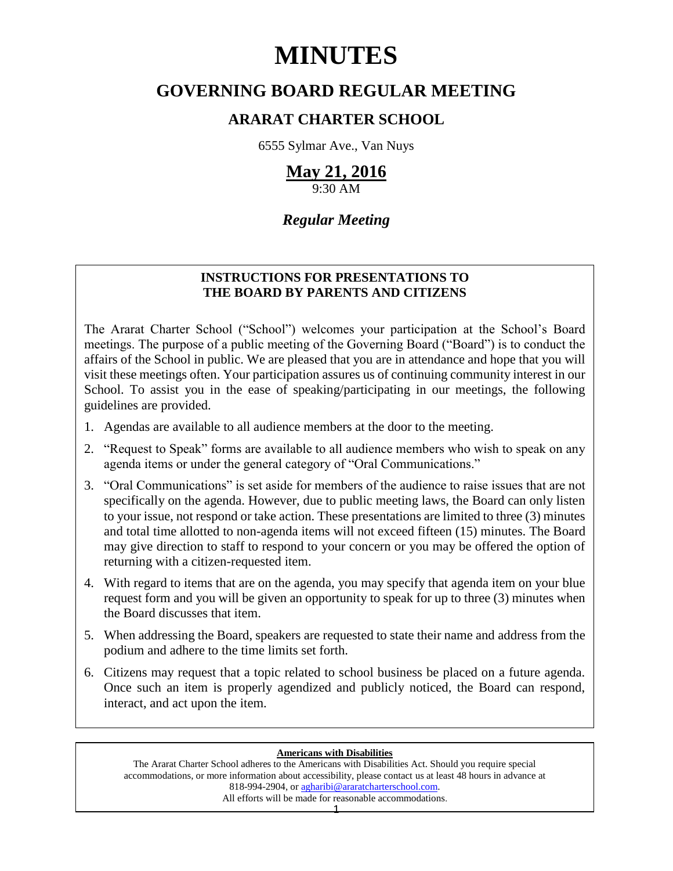# **MINUTES**

## **GOVERNING BOARD REGULAR MEETING**

## **ARARAT CHARTER SCHOOL**

6555 Sylmar Ave., Van Nuys

# **May 21, 2016**

9:30 AM

### *Regular Meeting*

#### **INSTRUCTIONS FOR PRESENTATIONS TO THE BOARD BY PARENTS AND CITIZENS**

The Ararat Charter School ("School") welcomes your participation at the School's Board meetings. The purpose of a public meeting of the Governing Board ("Board") is to conduct the affairs of the School in public. We are pleased that you are in attendance and hope that you will visit these meetings often. Your participation assures us of continuing community interest in our School. To assist you in the ease of speaking/participating in our meetings, the following guidelines are provided.

- 1. Agendas are available to all audience members at the door to the meeting.
- 2. "Request to Speak" forms are available to all audience members who wish to speak on any agenda items or under the general category of "Oral Communications."
- 3. "Oral Communications" is set aside for members of the audience to raise issues that are not specifically on the agenda. However, due to public meeting laws, the Board can only listen to your issue, not respond or take action. These presentations are limited to three (3) minutes and total time allotted to non-agenda items will not exceed fifteen (15) minutes. The Board may give direction to staff to respond to your concern or you may be offered the option of returning with a citizen-requested item.
- 4. With regard to items that are on the agenda, you may specify that agenda item on your blue request form and you will be given an opportunity to speak for up to three (3) minutes when the Board discusses that item.
- 5. When addressing the Board, speakers are requested to state their name and address from the podium and adhere to the time limits set forth.
- 6. Citizens may request that a topic related to school business be placed on a future agenda. Once such an item is properly agendized and publicly noticed, the Board can respond, interact, and act upon the item.

#### **Americans with Disabilities**

The Ararat Charter School adheres to the Americans with Disabilities Act. Should you require special accommodations, or more information about accessibility, please contact us at least 48 hours in advance at 818-994-2904, or [agharibi@araratcharterschool.com.](mailto:agharibi@araratcharterschool.com)  All efforts will be made for reasonable accommodations.

1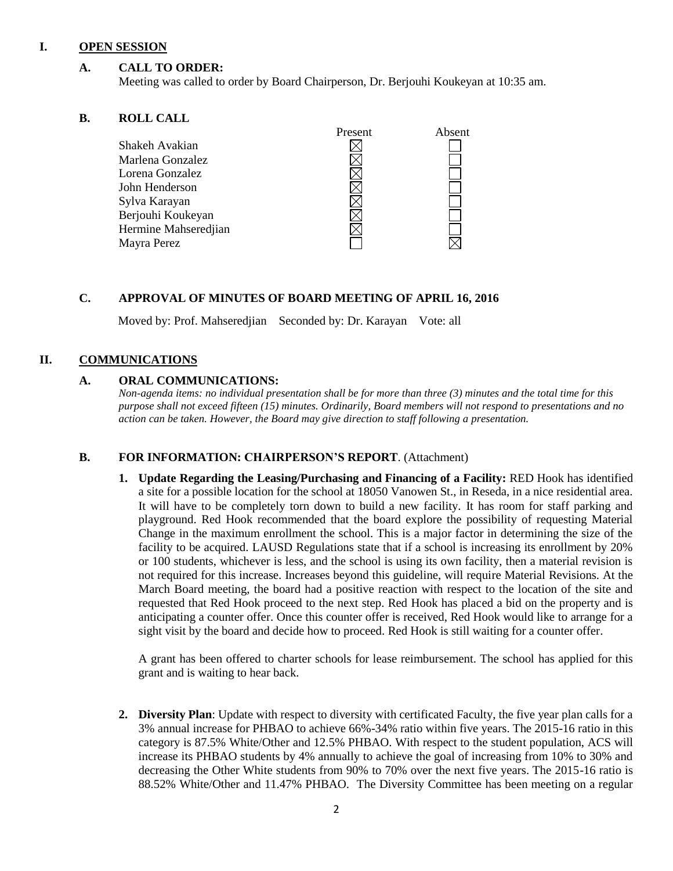#### **I. OPEN SESSION**

#### **A. CALL TO ORDER:**

Meeting was called to order by Board Chairperson, Dr. Berjouhi Koukeyan at 10:35 am.

#### **B. ROLL CALL**

| Present | Absent |
|---------|--------|
|         |        |
|         |        |
|         |        |
|         |        |
|         |        |
|         |        |
|         |        |
|         |        |
|         |        |

#### **C. APPROVAL OF MINUTES OF BOARD MEETING OF APRIL 16, 2016**

Moved by: Prof. Mahseredjian Seconded by: Dr. Karayan Vote: all

#### **II. COMMUNICATIONS**

#### **A. ORAL COMMUNICATIONS:**

*Non-agenda items: no individual presentation shall be for more than three (3) minutes and the total time for this purpose shall not exceed fifteen (15) minutes. Ordinarily, Board members will not respond to presentations and no action can be taken. However, the Board may give direction to staff following a presentation.*

#### **B. FOR INFORMATION: CHAIRPERSON'S REPORT**. (Attachment)

**1. Update Regarding the Leasing/Purchasing and Financing of a Facility:** RED Hook has identified a site for a possible location for the school at 18050 Vanowen St., in Reseda, in a nice residential area. It will have to be completely torn down to build a new facility. It has room for staff parking and playground. Red Hook recommended that the board explore the possibility of requesting Material Change in the maximum enrollment the school. This is a major factor in determining the size of the facility to be acquired. LAUSD Regulations state that if a school is increasing its enrollment by 20% or 100 students, whichever is less, and the school is using its own facility, then a material revision is not required for this increase. Increases beyond this guideline, will require Material Revisions. At the March Board meeting, the board had a positive reaction with respect to the location of the site and requested that Red Hook proceed to the next step. Red Hook has placed a bid on the property and is anticipating a counter offer. Once this counter offer is received, Red Hook would like to arrange for a sight visit by the board and decide how to proceed. Red Hook is still waiting for a counter offer.

A grant has been offered to charter schools for lease reimbursement. The school has applied for this grant and is waiting to hear back.

**2. Diversity Plan**: Update with respect to diversity with certificated Faculty, the five year plan calls for a 3% annual increase for PHBAO to achieve 66%-34% ratio within five years. The 2015-16 ratio in this category is 87.5% White/Other and 12.5% PHBAO. With respect to the student population, ACS will increase its PHBAO students by 4% annually to achieve the goal of increasing from 10% to 30% and decreasing the Other White students from 90% to 70% over the next five years. The 2015-16 ratio is 88.52% White/Other and 11.47% PHBAO. The Diversity Committee has been meeting on a regular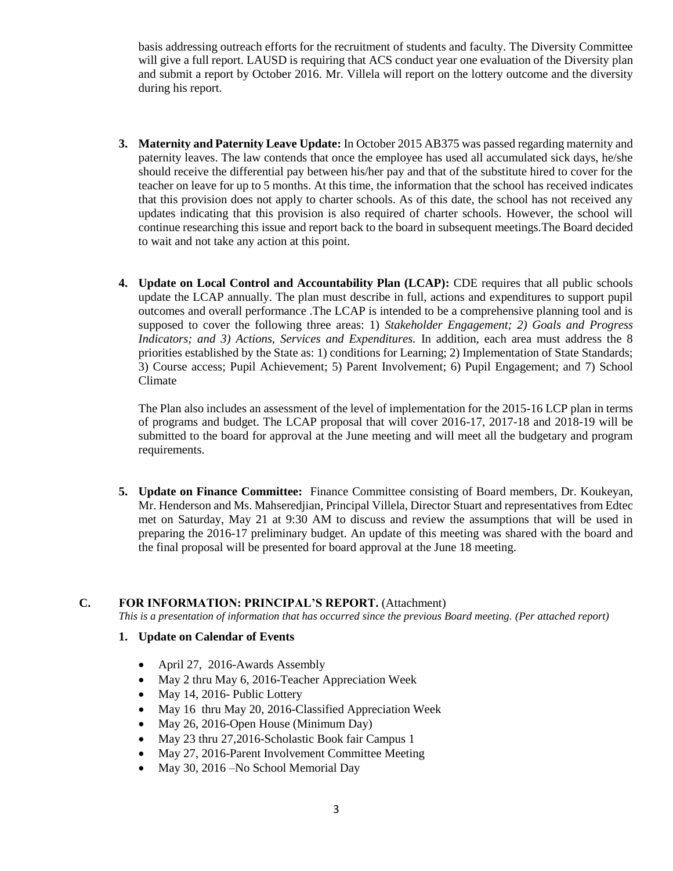basis addressing outreach efforts for the recruitment of students and faculty. The Diversity Committee will give a full report. LAUSD is requiring that ACS conduct year one evaluation of the Diversity plan and submit a report by October 2016. Mr. Villela will report on the lottery outcome and the diversity during his report.

- **3. Maternity and Paternity Leave Update:** In October 2015 AB375 was passed regarding maternity and paternity leaves. The law contends that once the employee has used all accumulated sick days, he/she should receive the differential pay between his/her pay and that of the substitute hired to cover for the teacher on leave for up to 5 months. At this time, the information that the school has received indicates that this provision does not apply to charter schools. As of this date, the school has not received any updates indicating that this provision is also required of charter schools. However, the school will continue researching this issue and report back to the board in subsequent meetings.The Board decided to wait and not take any action at this point.
- **4. Update on Local Control and Accountability Plan (LCAP):** CDE requires that all public schools update the LCAP annually. The plan must describe in full, actions and expenditures to support pupil outcomes and overall performance .The LCAP is intended to be a comprehensive planning tool and is supposed to cover the following three areas: 1) *Stakeholder Engagement; 2) Goals and Progress Indicators; and 3) Actions, Services and Expenditures.* In addition, each area must address the 8 priorities established by the State as: 1) conditions for Learning; 2) Implementation of State Standards; 3) Course access; Pupil Achievement; 5) Parent Involvement; 6) Pupil Engagement; and 7) School Climate

The Plan also includes an assessment of the level of implementation for the 2015-16 LCP plan in terms of programs and budget. The LCAP proposal that will cover 2016-17, 2017-18 and 2018-19 will be submitted to the board for approval at the June meeting and will meet all the budgetary and program requirements.

**5. Update on Finance Committee:** Finance Committee consisting of Board members, Dr. Koukeyan, Mr. Henderson and Ms. Mahseredjian, Principal Villela, Director Stuart and representatives from Edtec met on Saturday, May 21 at 9:30 AM to discuss and review the assumptions that will be used in preparing the 2016-17 preliminary budget. An update of this meeting was shared with the board and the final proposal will be presented for board approval at the June 18 meeting.

#### **C. FOR INFORMATION: PRINCIPAL'S REPORT.** (Attachment)

*This is a presentation of information that has occurred since the previous Board meeting. (Per attached report)*

#### **1. Update on Calendar of Events**

- April 27, 2016-Awards Assembly
- May 2 thru May 6, 2016-Teacher Appreciation Week
- May 14, 2016- Public Lottery
- May 16 thru May 20, 2016-Classified Appreciation Week
- May 26, 2016-Open House (Minimum Day)
- May 23 thru 27,2016-Scholastic Book fair Campus 1
- May 27, 2016-Parent Involvement Committee Meeting
- May 30, 2016 No School Memorial Day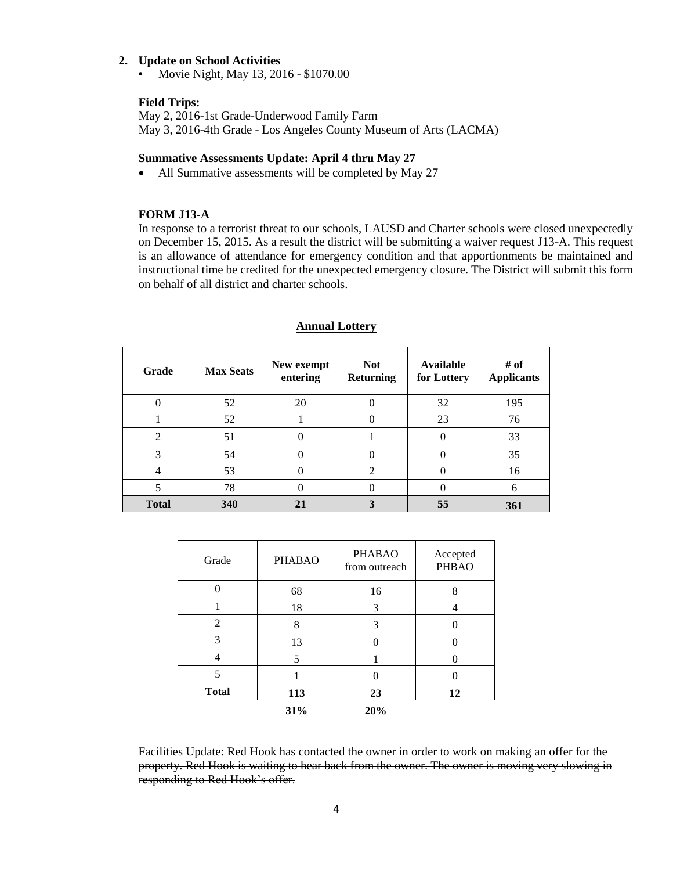#### **2. Update on School Activities**

**•** Movie Night, May 13, 2016 - \$1070.00

#### **Field Trips:**

May 2, 2016-1st Grade-Underwood Family Farm May 3, 2016-4th Grade - Los Angeles County Museum of Arts (LACMA)

#### **Summative Assessments Update: April 4 thru May 27**

• All Summative assessments will be completed by May 27

#### **FORM J13-A**

In response to a terrorist threat to our schools, LAUSD and Charter schools were closed unexpectedly on December 15, 2015. As a result the district will be submitting a waiver request J13-A. This request is an allowance of attendance for emergency condition and that apportionments be maintained and instructional time be credited for the unexpected emergency closure. The District will submit this form on behalf of all district and charter schools.

| Grade        | <b>Max Seats</b> | New exempt<br>entering | <b>Not</b><br><b>Returning</b> | Available<br>for Lottery | # of<br><b>Applicants</b> |
|--------------|------------------|------------------------|--------------------------------|--------------------------|---------------------------|
|              | 52               | 20                     | 0                              | 32                       | 195                       |
|              | 52               |                        | 0                              | 23                       | 76                        |
| 2            | 51               |                        |                                |                          | 33                        |
| 3            | 54               |                        | 0                              |                          | 35                        |
| 4            | 53               |                        | $\mathfrak{D}$                 |                          | 16                        |
| 5            | 78               |                        | 0                              |                          | 6                         |
| <b>Total</b> | 340              | 21                     | 3                              | 55                       | 361                       |

#### **Annual Lottery**

| Grade                   | <b>PHABAO</b> | <b>PHABAO</b><br>from outreach | Accepted<br><b>PHBAO</b> |
|-------------------------|---------------|--------------------------------|--------------------------|
|                         | 68            | 16                             | 8                        |
|                         | 18            | 3                              |                          |
| 2                       | 8             | 3                              |                          |
| 3                       | 13            | 0                              |                          |
|                         | 5             |                                |                          |
| $\overline{\mathbf{5}}$ |               |                                |                          |
| <b>Total</b>            | 113           | 23                             | 12                       |
|                         | 31%           | 20%                            |                          |

Facilities Update: Red Hook has contacted the owner in order to work on making an offer for the property. Red Hook is waiting to hear back from the owner. The owner is moving very slowing in responding to Red Hook's offer.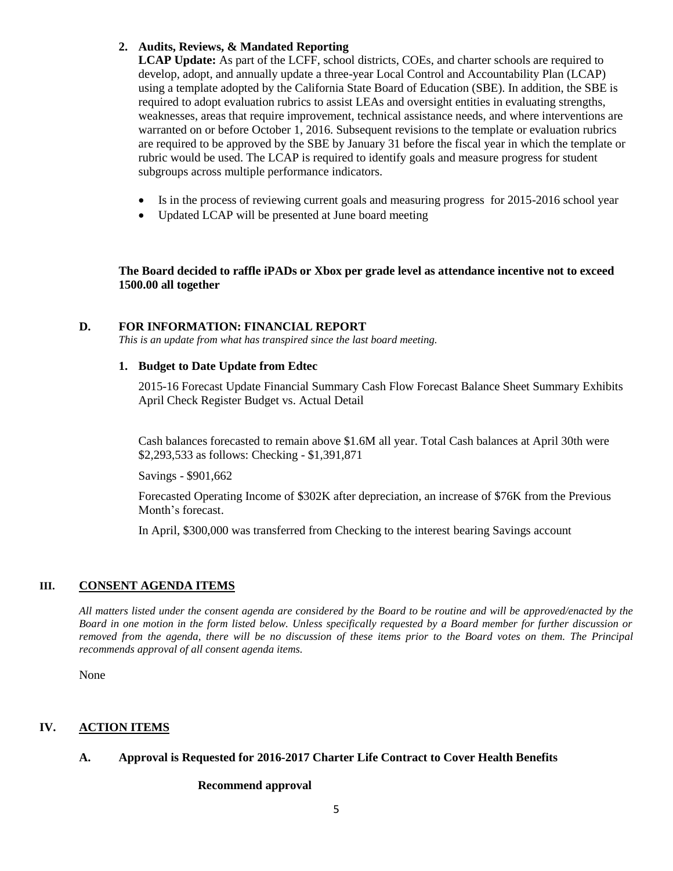#### **2. Audits, Reviews, & Mandated Reporting**

**LCAP Update:** As part of the LCFF, school districts, COEs, and charter schools are required to develop, adopt, and annually update a three-year Local Control and Accountability Plan (LCAP) using a template adopted by the California State Board of Education (SBE). In addition, the SBE is required to adopt evaluation rubrics to assist LEAs and oversight entities in evaluating strengths, weaknesses, areas that require improvement, technical assistance needs, and where interventions are warranted on or before October 1, 2016. Subsequent revisions to the template or evaluation rubrics are required to be approved by the SBE by January 31 before the fiscal year in which the template or rubric would be used. The LCAP is required to identify goals and measure progress for student subgroups across multiple performance indicators.

- Is in the process of reviewing current goals and measuring progress for 2015-2016 school year
- Updated LCAP will be presented at June board meeting

**The Board decided to raffle iPADs or Xbox per grade level as attendance incentive not to exceed 1500.00 all together**

#### **D. FOR INFORMATION: FINANCIAL REPORT**

*This is an update from what has transpired since the last board meeting.*

#### **1. Budget to Date Update from Edtec**

2015-16 Forecast Update Financial Summary Cash Flow Forecast Balance Sheet Summary Exhibits April Check Register Budget vs. Actual Detail

Cash balances forecasted to remain above \$1.6M all year. Total Cash balances at April 30th were \$2,293,533 as follows: Checking - \$1,391,871

Savings - \$901,662

Forecasted Operating Income of \$302K after depreciation, an increase of \$76K from the Previous Month's forecast.

In April, \$300,000 was transferred from Checking to the interest bearing Savings account

#### **III. CONSENT AGENDA ITEMS**

*All matters listed under the consent agenda are considered by the Board to be routine and will be approved/enacted by the Board in one motion in the form listed below. Unless specifically requested by a Board member for further discussion or removed from the agenda, there will be no discussion of these items prior to the Board votes on them. The Principal recommends approval of all consent agenda items.*

None

#### **IV. ACTION ITEMS**

#### **A. Approval is Requested for 2016-2017 Charter Life Contract to Cover Health Benefits**

#### **Recommend approval**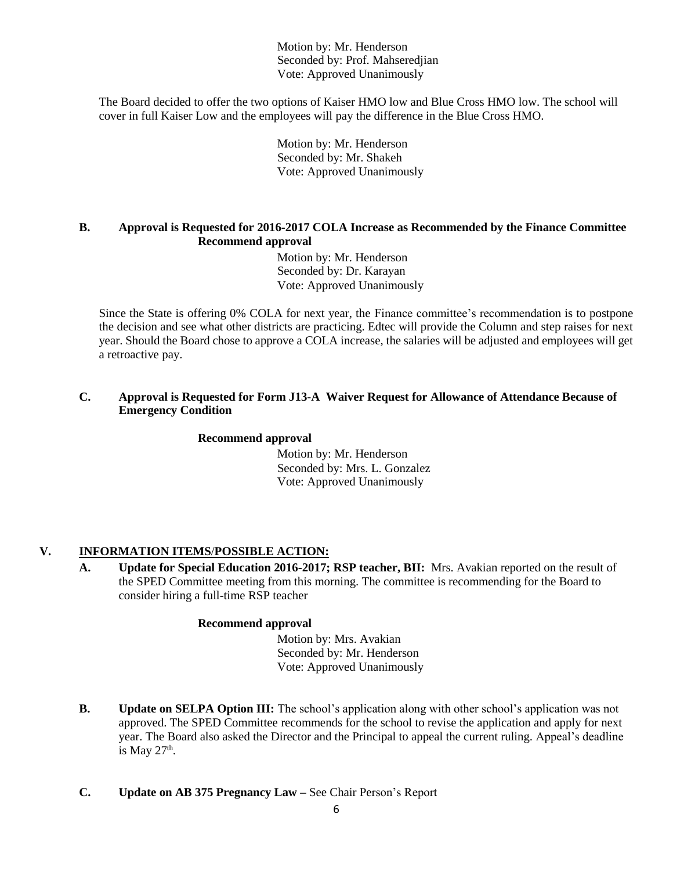Motion by: Mr. Henderson Seconded by: Prof. Mahseredjian Vote: Approved Unanimously

The Board decided to offer the two options of Kaiser HMO low and Blue Cross HMO low. The school will cover in full Kaiser Low and the employees will pay the difference in the Blue Cross HMO.

> Motion by: Mr. Henderson Seconded by: Mr. Shakeh Vote: Approved Unanimously

#### **B. Approval is Requested for 2016-2017 COLA Increase as Recommended by the Finance Committee Recommend approval**

 Motion by: Mr. Henderson Seconded by: Dr. Karayan Vote: Approved Unanimously

Since the State is offering 0% COLA for next year, the Finance committee's recommendation is to postpone the decision and see what other districts are practicing. Edtec will provide the Column and step raises for next year. Should the Board chose to approve a COLA increase, the salaries will be adjusted and employees will get a retroactive pay.

#### **C. Approval is Requested for Form J13-A Waiver Request for Allowance of Attendance Because of Emergency Condition**

#### **Recommend approval**

 Motion by: Mr. Henderson Seconded by: Mrs. L. Gonzalez Vote: Approved Unanimously

#### **V. INFORMATION ITEMS**/**POSSIBLE ACTION:**

**A. Update for Special Education 2016-2017; RSP teacher, BII:** Mrs. Avakian reported on the result of the SPED Committee meeting from this morning. The committee is recommending for the Board to consider hiring a full-time RSP teacher

#### **Recommend approval**

 Motion by: Mrs. Avakian Seconded by: Mr. Henderson Vote: Approved Unanimously

- **B. Update on SELPA Option III:** The school's application along with other school's application was not approved. The SPED Committee recommends for the school to revise the application and apply for next year. The Board also asked the Director and the Principal to appeal the current ruling. Appeal's deadline is May  $27<sup>th</sup>$ .
- **C. Update on AB 375 Pregnancy Law –** See Chair Person's Report